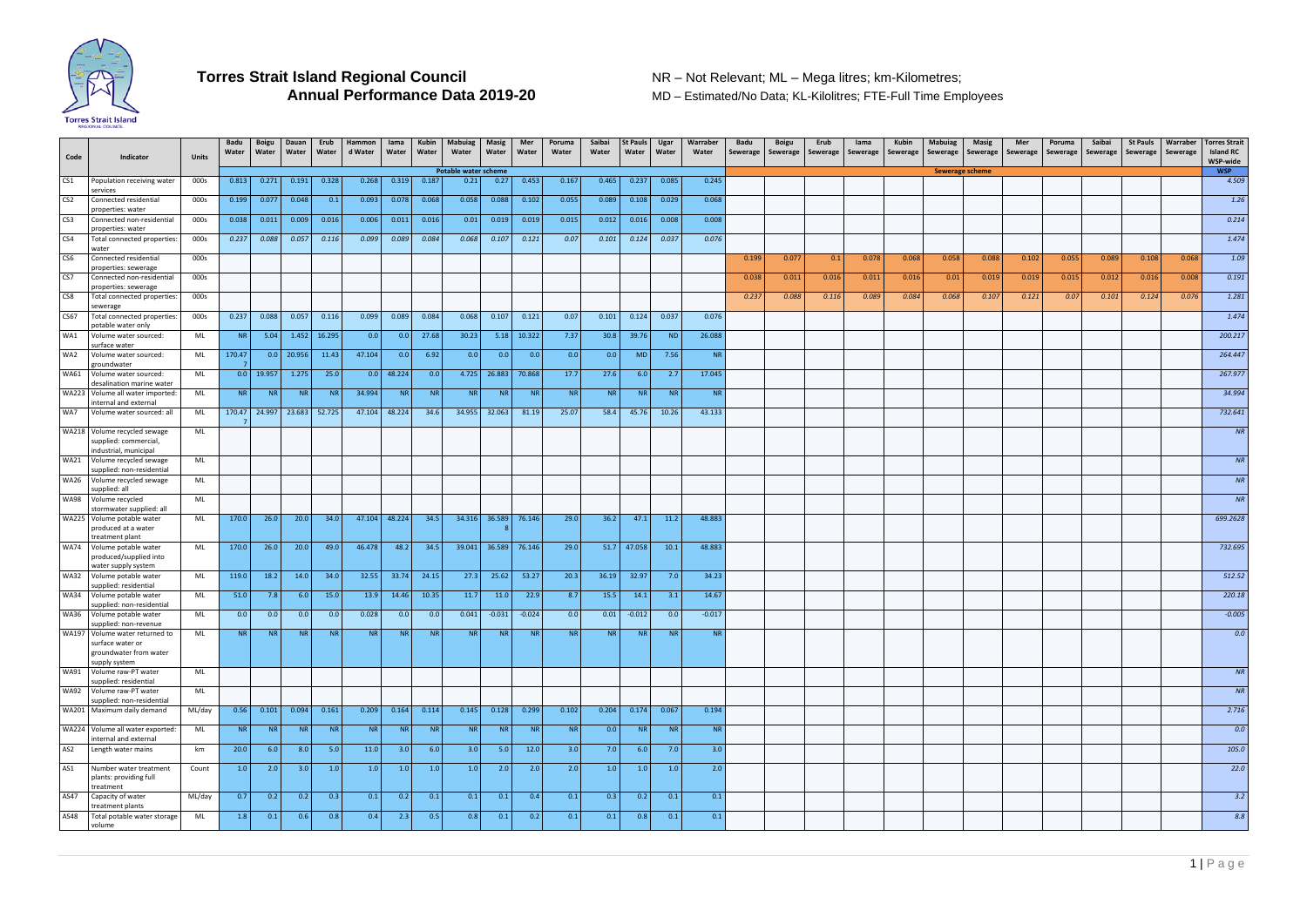

**MD – Estimated/No Data; KL-Kilolitres; FTE-Full Time Employees** 

| Code            | Indicator                                                                       | <b>Units</b> | Badu<br>Water | <b>Boigu</b><br>Water | Dauan<br>Water   | Erub<br>Water | Hammon<br>d Water | lama<br>Water | Kubin<br>Water | <b>Mabuiag</b><br>Water | <b>Masig</b><br>Water | Mer<br>Water | Poruma<br>Water | Saibai<br>Water | <b>St Pauls</b><br>Water | Ugar<br>Water | Warraber<br>Water | Badu<br>Sewerage | Boigu<br>Sewerage | Erub<br>Sewerage | lama<br>Sewerage | Kubin<br>Sewerage | Mabuiag<br>Sewerage    | Masig<br>Sewerage | Mer<br>Sewerage | Poruma<br>Sewerage | Saibai<br>Sewerage | <b>St Pauls</b><br>Sewerage | Warraber<br>Sewerage | <b>Torres Strait</b><br><b>Island RC</b><br>WSP-wide |
|-----------------|---------------------------------------------------------------------------------|--------------|---------------|-----------------------|------------------|---------------|-------------------|---------------|----------------|-------------------------|-----------------------|--------------|-----------------|-----------------|--------------------------|---------------|-------------------|------------------|-------------------|------------------|------------------|-------------------|------------------------|-------------------|-----------------|--------------------|--------------------|-----------------------------|----------------------|------------------------------------------------------|
|                 |                                                                                 |              |               |                       |                  |               |                   |               |                | Potable water scheme    |                       |              |                 |                 |                          |               |                   |                  |                   |                  |                  |                   | <b>Sewerage scheme</b> |                   |                 |                    |                    |                             |                      | <b>WSP</b>                                           |
| CS <sub>1</sub> | Population receiving water<br>services                                          | 000s         | 0.813         | 0.271                 | 0.191            | 0.328         | 0.268             | 0.319         | 0.187          | 0.21                    | 0.27                  | 0.453        | 0.167           | 0.465           | 0.237                    | 0.085         | 0.245             |                  |                   |                  |                  |                   |                        |                   |                 |                    |                    |                             |                      | 4.509                                                |
| CS <sub>2</sub> | Connected residential<br>properties: water                                      | 000s         | 0.199         | 0.077                 | 0.048            | 0.1           | 0.093             | 0.078         | 0.068          | 0.058                   | 0.088                 | 0.102        | 0.055           | 0.089           | 0.108                    | 0.029         | 0.068             |                  |                   |                  |                  |                   |                        |                   |                 |                    |                    |                             |                      | 1.26                                                 |
| CS <sub>3</sub> | Connected non-residential<br>properties: water                                  | 000s         | 0.038         | 0.011                 | 0.009            | 0.016         | 0.006             | 0.011         | 0.016          | 0.01                    | 0.019                 | 0.019        | 0.015           | 0.012           | 0.016                    | 0.008         | 0.008             |                  |                   |                  |                  |                   |                        |                   |                 |                    |                    |                             |                      | 0.214                                                |
| CS4             | Total connected properties:<br>water                                            | 000s         | 0.237         | 0.088                 | 0.057            | 0.116         | 0.099             | 0.089         | 0.084          | 0.068                   | 0.107                 | 0.121        | 0.07            | 0.101           | 0.124                    | 0.037         | 0.076             |                  |                   |                  |                  |                   |                        |                   |                 |                    |                    |                             |                      | 1.474                                                |
| CS <sub>6</sub> | Connected residential<br>properties: sewerage                                   | 000s         |               |                       |                  |               |                   |               |                |                         |                       |              |                 |                 |                          |               |                   | 0.199            | 0.077             | 0.1              | 0.078            | 0.068             | 0.058                  | 0.088             | 0.102           | 0.055              | 0.089              | 0.108                       | 0.068                | 1.09                                                 |
| CS7             | Connected non-residential<br>properties: sewerage                               | 000s         |               |                       |                  |               |                   |               |                |                         |                       |              |                 |                 |                          |               |                   | 0.038            | 0.011             | 0.016            | 0.011            | 0.016             | 0.01                   | 0.019             | 0.019           | 0.015              | 0.012              | 0.016                       | 0.008                | 0.191                                                |
| CS8             | Total connected properties:<br>sewerage                                         | 000s         |               |                       |                  |               |                   |               |                |                         |                       |              |                 |                 |                          |               |                   | 0.237            | 0.088             | 0.116            | 0.089            | 0.084             | 0.068                  | 0.107             | 0.121           | 0.07               | 0.101              | 0.124                       | 0.076                | 1.281                                                |
| <b>CS67</b>     | Total connected properties:<br>potable water only                               | 000s         | 0.237         | 0.088                 | 0.057            | 0.116         | 0.099             | 0.089         | 0.084          | 0.068                   | 0.107                 | 0.121        | 0.07            | 0.101           | 0.124                    | 0.037         | 0.076             |                  |                   |                  |                  |                   |                        |                   |                 |                    |                    |                             |                      | 1.474                                                |
| WA1             | Volume water sourced:<br>surface water                                          | ML           | <b>NR</b>     | 5.04                  |                  | 1.452 16.295  | 0.0               | 0.0           | 27.68          | 30.23                   |                       | 5.18 10.322  | 7.37            | 30.8            | 39.76                    | <b>ND</b>     | 26.088            |                  |                   |                  |                  |                   |                        |                   |                 |                    |                    |                             |                      | 200.217                                              |
| WA2             | Volume water sourced:<br>groundwater                                            | ML           | 170.47        |                       | $0.0$ 20.956     | 11.43         | 47.104            | 0.0           | 6.92           | 0.0                     | 0.0                   | 0.0          | 0.0             | 0.0             | <b>MD</b>                | 7.56          | <b>NR</b>         |                  |                   |                  |                  |                   |                        |                   |                 |                    |                    |                             |                      | 264.447                                              |
| <b>WA61</b>     | Volume water sourced:<br>desalination marine water                              | ML           | 0.0           | 19.957                | 1.275            | 25.0          | 0.0               | 48.224        | 0.0            | 4.725                   | 26.883 70.868         |              | 17.7            | 27.6            | 6.0                      | 2.7           | 17.045            |                  |                   |                  |                  |                   |                        |                   |                 |                    |                    |                             |                      | 267.977                                              |
|                 | WA223 Volume all water imported:<br>internal and external                       | ML           | NR            | <b>NR</b>             | NR I             | NR I          | 34.994            | <b>NR</b>     | <b>NR</b>      | <b>NR</b>               | NR                    | <b>NR</b>    | NR              | NR I            | <b>NR</b>                | <b>NR</b>     | <b>NR</b>         |                  |                   |                  |                  |                   |                        |                   |                 |                    |                    |                             |                      | 34.994                                               |
| WA7             | Volume water sourced: all                                                       | ML           | 170.47        | 24.997                |                  | 23.683 52.725 | 47.104            | 48.224        | 34.6           | 34.955                  | 32.063                | 81.19        | 25.07           | 58.4            | 45.76                    | 10.26         | 43.133            |                  |                   |                  |                  |                   |                        |                   |                 |                    |                    |                             |                      | 732.641                                              |
|                 | WA218 Volume recycled sewage<br>supplied: commercial,<br>industrial, municipal  | ML           |               |                       |                  |               |                   |               |                |                         |                       |              |                 |                 |                          |               |                   |                  |                   |                  |                  |                   |                        |                   |                 |                    |                    |                             |                      | NR                                                   |
|                 | WA21 Volume recycled sewage<br>supplied: non-residential                        | ML           |               |                       |                  |               |                   |               |                |                         |                       |              |                 |                 |                          |               |                   |                  |                   |                  |                  |                   |                        |                   |                 |                    |                    |                             |                      | ${\it NR}$                                           |
|                 | WA26 Volume recycled sewage<br>supplied: all                                    | ML           |               |                       |                  |               |                   |               |                |                         |                       |              |                 |                 |                          |               |                   |                  |                   |                  |                  |                   |                        |                   |                 |                    |                    |                             |                      | NR                                                   |
|                 | WA98 Volume recycled<br>stormwater supplied: all                                | ML           |               |                       |                  |               |                   |               |                |                         |                       |              |                 |                 |                          |               |                   |                  |                   |                  |                  |                   |                        |                   |                 |                    |                    |                             |                      | NR                                                   |
|                 | WA225 Volume potable water<br>produced at a water                               | ML           | 170.0         | 26.0                  | 20.0             | 34.0          | 47.104            | 48.224        | 34.5           | 34.316                  | 36.589 76.146         |              | 29.0            | 36.2            | 47.1                     | 11.2          | 48.883            |                  |                   |                  |                  |                   |                        |                   |                 |                    |                    |                             |                      | 699.2628                                             |
|                 | treatment plant<br>WA74 Volume potable water<br>produced/supplied into          | ML           | 170.0         | 26.0                  | 20.0             | 49.0          | 46.478            | 48.2          | 34.5           |                         | 39.041 36.589 76.146  |              | 29.0            |                 | 51.7 47.058              | 10.1          | 48.883            |                  |                   |                  |                  |                   |                        |                   |                 |                    |                    |                             |                      | 732.695                                              |
|                 | water supply system<br>WA32 Volume potable water                                | ML           | 119.0         | 18.2                  | 14.0             | 34.0          | 32.55             | 33.74         | 24.15          | 27.3                    | 25.62                 | 53.27        | 20.3            | 36.19           | 32.97                    | 7.0           | 34.23             |                  |                   |                  |                  |                   |                        |                   |                 |                    |                    |                             |                      | 512.52                                               |
|                 | supplied: residential<br>WA34 Volume potable water                              | ML           | 51.0          | 7.8                   | 6.0              | 15.0          | 13.9              | 14.46         | 10.35          | 11.7                    | 11.0                  | 22.9         | 8.7             | 15.5            | 14.1                     | 3.1           | 14.67             |                  |                   |                  |                  |                   |                        |                   |                 |                    |                    |                             |                      | 220.18                                               |
|                 | supplied: non-residential<br>WA36 Volume potable water<br>supplied: non-revenue | ML           | 0.0           | 0.0                   | 0.0 <sub>1</sub> | 0.0           | 0.028             | 0.0           | 0.0            | 0.041                   | $-0.031$              | $-0.024$     | 0.0             | 0.01            | $-0.012$                 | 0.0           | $-0.017$          |                  |                   |                  |                  |                   |                        |                   |                 |                    |                    |                             |                      | $-0.005$                                             |
|                 | WA197 Volume water returned to<br>surface water or                              | ML           | <b>NR</b>     | <b>NR</b>             | N <sub>R</sub>   | <b>NR</b>     | <b>NR</b>         | <b>NR</b>     | <b>NR</b>      | <b>NR</b>               | NR                    | <b>NR</b>    | NR              | <b>NR</b>       | <b>NR</b>                | <b>NR</b>     | <b>NR</b>         |                  |                   |                  |                  |                   |                        |                   |                 |                    |                    |                             |                      | 0.0                                                  |
|                 | groundwater from water<br>supply system                                         |              |               |                       |                  |               |                   |               |                |                         |                       |              |                 |                 |                          |               |                   |                  |                   |                  |                  |                   |                        |                   |                 |                    |                    |                             |                      |                                                      |
|                 | WA91 Volume raw-PT water<br>supplied: residential<br>WA92 Volume raw-PT water   | ML           |               |                       |                  |               |                   |               |                |                         |                       |              |                 |                 |                          |               |                   |                  |                   |                  |                  |                   |                        |                   |                 |                    |                    |                             |                      | NR                                                   |
|                 | supplied: non-residential                                                       | ML           |               |                       |                  |               |                   |               |                |                         |                       |              |                 |                 |                          |               |                   |                  |                   |                  |                  |                   |                        |                   |                 |                    |                    |                             |                      | NR                                                   |
|                 | WA201 Maximum daily demand                                                      | ML/day       | 0.56          | 0.101                 | 0.094            | 0.161         | 0.209             | 0.164         | 0.114          | 0.145                   | 0.128                 | 0.299        | 0.102           | 0.204           | 0.174                    | 0.067         | 0.194             |                  |                   |                  |                  |                   |                        |                   |                 |                    |                    |                             |                      | 2.716                                                |
|                 | WA224 Volume all water exported:<br>internal and external                       | ML           | NR            | <b>NR</b>             | NR I             | <b>NR</b>     | NR                | <b>NR</b>     | <b>NR</b>      | <b>NR</b>               | NR                    | <b>NR</b>    | NR              | 0.0             | NR                       | <b>NR</b>     | <b>NR</b>         |                  |                   |                  |                  |                   |                        |                   |                 |                    |                    |                             |                      | 0.0                                                  |
| AS <sub>2</sub> | Length water mains                                                              | km           | 20.0          | 6.0                   | 8.0              | 5.0           | 11.0              | 3.0           | 6.0            | 3.0                     | 5.0                   | 12.0         | 3.0             | 7.0             | 6.0                      | 7.0           | 3.0               |                  |                   |                  |                  |                   |                        |                   |                 |                    |                    |                             |                      | 105.0                                                |
| AS1             | Number water treatment<br>plants: providing full<br>treatment                   | Count        | 1.0           | 2.0                   | 3.0              | 1.0           | 1.0               | 1.0           | 1.0            | 1.0                     | 2.0                   | 2.0          | 2.0             | 1.0             | 1.0                      | 1.0           | 2.0               |                  |                   |                  |                  |                   |                        |                   |                 |                    |                    |                             |                      | 22.0                                                 |
| AS47            | Capacity of water<br>treatment plants                                           | ML/day       | 0.7           | 0.2                   | 0.2              | 0.3           | 0.1               | 0.2           | 0.1            | 0.1                     | 0.1                   | 0.4          | 0.1             | 0.3             | 0.2                      | 0.1           | 0.1               |                  |                   |                  |                  |                   |                        |                   |                 |                    |                    |                             |                      | 3.2                                                  |
| AS48            | Total potable water storage<br>volume                                           | ML           | 1.8           | 0.1                   | 0.6              | 0.8           | 0.4               | 2.3           | 0.5            | 0.8                     | 0.1                   | 0.2          | 0.1             | 0.1             | 0.8                      | 0.1           | 0.1               |                  |                   |                  |                  |                   |                        |                   |                 |                    |                    |                             |                      | 8.8                                                  |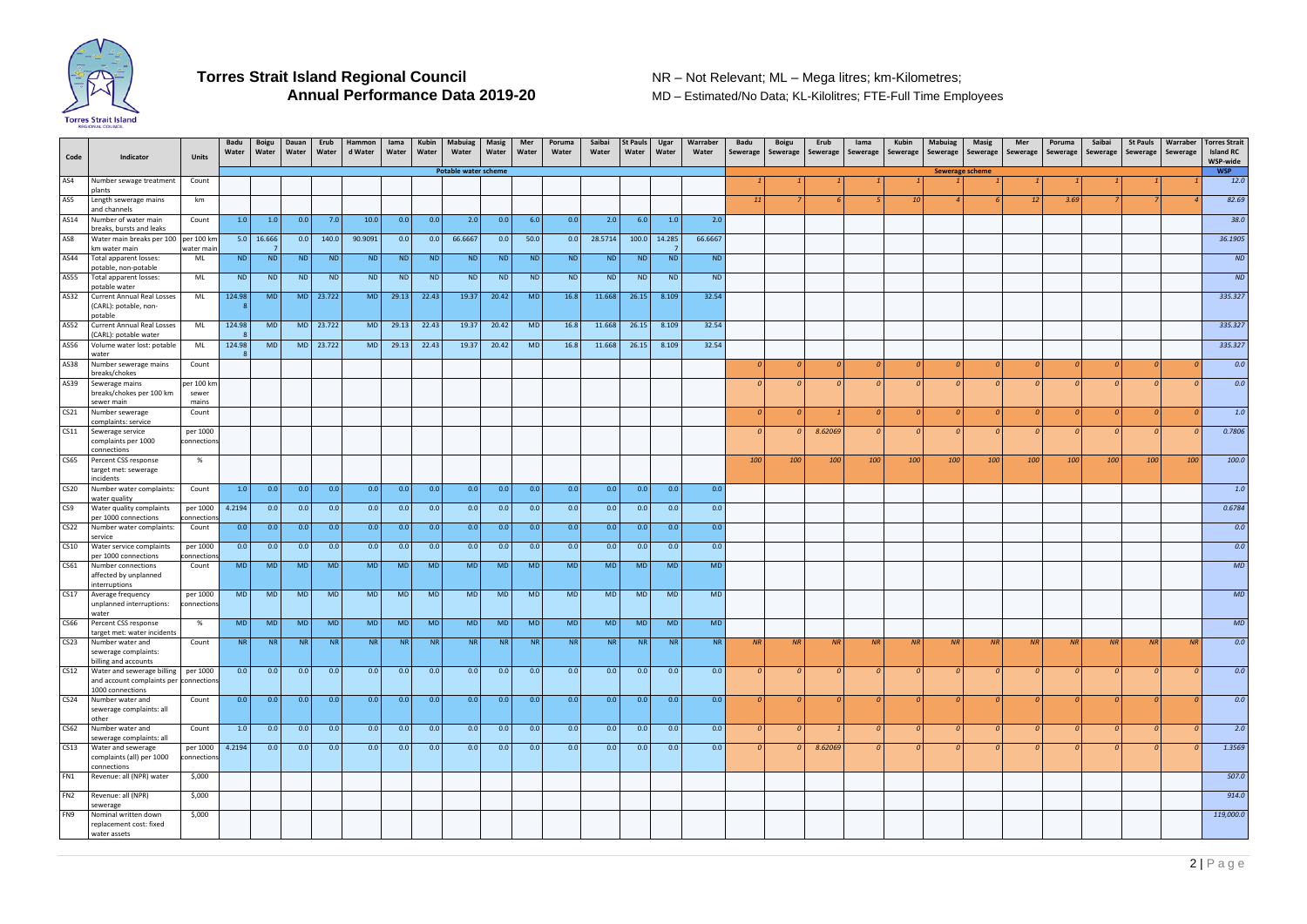

**MD – Estimated/No Data; KL-Kilolitres; FTE-Full Time Employees** 

2 | P a g e

| <b>Potable water scheme</b><br>AS4<br>Number sewage treatment<br>Count<br>plants<br>AS5<br>Length sewerage mains<br>km<br><b>11</b><br>and channels<br>AS14<br>0.0<br>7.0<br>0.0<br>2.0<br>0.0<br>0.0<br>2.0<br>6.0<br>1.0<br>2.0<br>1.0<br>1.0<br>10.0<br>0.0<br>6.0<br>Number of water main<br>Count<br>breaks, bursts and leaks<br>$5.0$ 16.666<br>28.5714<br>66.6667<br>AS8<br>Water main breaks per 100<br>per 100 km<br>0.0<br>140.0<br>90.9091<br>0.0<br>0.0<br>66.6667<br>0.0<br>50.0<br>0.0<br>100.0<br>14.285<br>km water main<br>water main<br><b>ND</b><br>ND<br>AS44<br><b>ND</b><br><b>ND</b><br><b>ND</b><br><b>ND</b><br><b>ND</b><br><b>ND</b><br>ND<br>ND<br><b>ND</b><br><b>ND</b><br><b>ND</b><br><b>ND</b><br><b>ND</b><br>Total apparent losses:<br>ML<br>potable, non-potable<br><b>ND</b><br><b>ND</b><br>AS55<br><b>ND</b><br><b>ND</b><br><b>ND</b><br><b>ND</b><br><b>ND</b><br><b>ND</b><br>ND<br><b>ND</b><br><b>ND</b><br>Total apparent losses:<br>ML<br>ND<br><b>ND</b><br><b>ND</b><br><b>ND</b><br>potable water<br>22.43<br>19.37<br>16.8<br>11.668<br>32.54<br>AS32<br>124.98<br><b>MD</b><br>M <sub>D</sub><br>23.722<br><b>MD</b><br>29.13<br>20.42<br><b>MD</b><br>26.15<br>8.109<br><b>Current Annual Real Losses</b><br>ML<br>(CARL): potable, non-<br>potable<br>AS52<br>11.668<br>32.54<br><b>Current Annual Real Losses</b><br>124.98<br><b>MD</b><br>MD 23.722<br><b>MD</b><br>29.13<br>22.43<br>19.37<br>20.42<br><b>MD</b><br>16.8<br>26.15<br>8.109<br>ML<br>(CARL): potable water<br>19.37<br>32.54<br>AS56<br>124.98<br><b>MD</b><br>MD 23.722<br><b>MD</b><br>29.13<br>22.43<br>20.42<br><b>MD</b><br>16.8<br>11.668<br>26.15<br>8.109<br>Volume water lost: potable<br>ML<br>water<br>AS38<br>Number sewerage mains<br>Count<br>breaks/chokes<br>AS39<br>per 100 km<br>Sewerage mains<br>breaks/chokes per 100 km<br>sewer<br>sewer main<br>mains<br>CS <sub>21</sub><br>Number sewerage<br>Count<br>complaints: service<br>CS11<br>8.62069<br>per 1000<br>Sewerage service<br>complaints per 1000<br>connections<br>connections<br>CS65<br>Percent CSS response<br>%<br>100<br>100<br>100<br>100<br>target met: sewerage<br>incidents<br><b>CS20</b><br>1.0<br>0.0<br>0.0<br>0.0<br>0.0<br>0.0<br>0.0<br>0.0<br>0.0<br>0.0<br>0.0<br>0.0<br>0.0<br>0.0<br>Number water complaints:<br>Count<br>0.0<br>water quality<br>4.2194<br>0.0<br>0.0<br>0.0<br>0.0<br>0.0<br>CS <sub>9</sub><br>per 1000<br>0.0<br>0.0<br>0.0<br>0.0<br>0.0<br>0.0<br>0.0<br>0.0<br>0.0<br>Water quality complaints<br>per 1000 connections<br>:onnection<br>0.0<br>0.0<br>CS <sub>22</sub><br>0.0<br>0.0<br>0.0<br>0.0<br>0.0<br>0.0<br>Number water complaints:<br>0.0<br>0.0<br>0.0<br>0.0<br>0.0<br>0.0<br>0.0<br>Count<br>service<br>0.0<br>0.0<br>0.0<br>0.0<br>0.0<br>0.0<br>0.0<br>0.0<br>0.0<br><b>CS10</b><br>0.0<br>0.0<br>0.0<br>0.0<br>0.0<br>0.0<br>Water service complaints<br>per 1000<br>per 1000 connections<br>connections<br>CS61<br><b>MD</b><br><b>MD</b><br><b>MD</b><br><b>MD</b><br><b>MD</b><br><b>MD</b><br><b>MD</b><br><b>MD</b><br><b>MD</b><br><b>MD</b><br><b>MD</b><br><b>MD</b><br><b>MD</b><br><b>MD</b><br><b>MD</b><br>Number connections<br>Count<br>affected by unplanned<br>interruptions | 10                         | <b>Sewerage scheme</b> |          | <b>12</b><br>3.69                |     |                |                       | <b>WSP</b><br>12.0<br>82.69<br>38.0<br>36.1905<br><b>ND</b><br><b>ND</b><br>335.327 |
|---------------------------------------------------------------------------------------------------------------------------------------------------------------------------------------------------------------------------------------------------------------------------------------------------------------------------------------------------------------------------------------------------------------------------------------------------------------------------------------------------------------------------------------------------------------------------------------------------------------------------------------------------------------------------------------------------------------------------------------------------------------------------------------------------------------------------------------------------------------------------------------------------------------------------------------------------------------------------------------------------------------------------------------------------------------------------------------------------------------------------------------------------------------------------------------------------------------------------------------------------------------------------------------------------------------------------------------------------------------------------------------------------------------------------------------------------------------------------------------------------------------------------------------------------------------------------------------------------------------------------------------------------------------------------------------------------------------------------------------------------------------------------------------------------------------------------------------------------------------------------------------------------------------------------------------------------------------------------------------------------------------------------------------------------------------------------------------------------------------------------------------------------------------------------------------------------------------------------------------------------------------------------------------------------------------------------------------------------------------------------------------------------------------------------------------------------------------------------------------------------------------------------------------------------------------------------------------------------------------------------------------------------------------------------------------------------------------------------------------------------------------------------------------------------------------------------------------------------------------------------------------------------------------------------------------------------------------------------------------------------------------------------------------------------------------------------------------------------------------------------------------------------------------------------------------------------------------------------------------------------------------|----------------------------|------------------------|----------|----------------------------------|-----|----------------|-----------------------|-------------------------------------------------------------------------------------|
|                                                                                                                                                                                                                                                                                                                                                                                                                                                                                                                                                                                                                                                                                                                                                                                                                                                                                                                                                                                                                                                                                                                                                                                                                                                                                                                                                                                                                                                                                                                                                                                                                                                                                                                                                                                                                                                                                                                                                                                                                                                                                                                                                                                                                                                                                                                                                                                                                                                                                                                                                                                                                                                                                                                                                                                                                                                                                                                                                                                                                                                                                                                                                                                                                                                               |                            |                        |          |                                  |     |                |                       |                                                                                     |
|                                                                                                                                                                                                                                                                                                                                                                                                                                                                                                                                                                                                                                                                                                                                                                                                                                                                                                                                                                                                                                                                                                                                                                                                                                                                                                                                                                                                                                                                                                                                                                                                                                                                                                                                                                                                                                                                                                                                                                                                                                                                                                                                                                                                                                                                                                                                                                                                                                                                                                                                                                                                                                                                                                                                                                                                                                                                                                                                                                                                                                                                                                                                                                                                                                                               |                            |                        |          |                                  |     |                |                       |                                                                                     |
|                                                                                                                                                                                                                                                                                                                                                                                                                                                                                                                                                                                                                                                                                                                                                                                                                                                                                                                                                                                                                                                                                                                                                                                                                                                                                                                                                                                                                                                                                                                                                                                                                                                                                                                                                                                                                                                                                                                                                                                                                                                                                                                                                                                                                                                                                                                                                                                                                                                                                                                                                                                                                                                                                                                                                                                                                                                                                                                                                                                                                                                                                                                                                                                                                                                               |                            |                        |          |                                  |     |                |                       |                                                                                     |
|                                                                                                                                                                                                                                                                                                                                                                                                                                                                                                                                                                                                                                                                                                                                                                                                                                                                                                                                                                                                                                                                                                                                                                                                                                                                                                                                                                                                                                                                                                                                                                                                                                                                                                                                                                                                                                                                                                                                                                                                                                                                                                                                                                                                                                                                                                                                                                                                                                                                                                                                                                                                                                                                                                                                                                                                                                                                                                                                                                                                                                                                                                                                                                                                                                                               |                            |                        |          |                                  |     |                |                       |                                                                                     |
|                                                                                                                                                                                                                                                                                                                                                                                                                                                                                                                                                                                                                                                                                                                                                                                                                                                                                                                                                                                                                                                                                                                                                                                                                                                                                                                                                                                                                                                                                                                                                                                                                                                                                                                                                                                                                                                                                                                                                                                                                                                                                                                                                                                                                                                                                                                                                                                                                                                                                                                                                                                                                                                                                                                                                                                                                                                                                                                                                                                                                                                                                                                                                                                                                                                               |                            |                        |          |                                  |     |                |                       |                                                                                     |
|                                                                                                                                                                                                                                                                                                                                                                                                                                                                                                                                                                                                                                                                                                                                                                                                                                                                                                                                                                                                                                                                                                                                                                                                                                                                                                                                                                                                                                                                                                                                                                                                                                                                                                                                                                                                                                                                                                                                                                                                                                                                                                                                                                                                                                                                                                                                                                                                                                                                                                                                                                                                                                                                                                                                                                                                                                                                                                                                                                                                                                                                                                                                                                                                                                                               |                            |                        |          |                                  |     |                |                       |                                                                                     |
|                                                                                                                                                                                                                                                                                                                                                                                                                                                                                                                                                                                                                                                                                                                                                                                                                                                                                                                                                                                                                                                                                                                                                                                                                                                                                                                                                                                                                                                                                                                                                                                                                                                                                                                                                                                                                                                                                                                                                                                                                                                                                                                                                                                                                                                                                                                                                                                                                                                                                                                                                                                                                                                                                                                                                                                                                                                                                                                                                                                                                                                                                                                                                                                                                                                               |                            |                        |          |                                  |     |                |                       |                                                                                     |
|                                                                                                                                                                                                                                                                                                                                                                                                                                                                                                                                                                                                                                                                                                                                                                                                                                                                                                                                                                                                                                                                                                                                                                                                                                                                                                                                                                                                                                                                                                                                                                                                                                                                                                                                                                                                                                                                                                                                                                                                                                                                                                                                                                                                                                                                                                                                                                                                                                                                                                                                                                                                                                                                                                                                                                                                                                                                                                                                                                                                                                                                                                                                                                                                                                                               |                            |                        |          |                                  |     |                |                       |                                                                                     |
|                                                                                                                                                                                                                                                                                                                                                                                                                                                                                                                                                                                                                                                                                                                                                                                                                                                                                                                                                                                                                                                                                                                                                                                                                                                                                                                                                                                                                                                                                                                                                                                                                                                                                                                                                                                                                                                                                                                                                                                                                                                                                                                                                                                                                                                                                                                                                                                                                                                                                                                                                                                                                                                                                                                                                                                                                                                                                                                                                                                                                                                                                                                                                                                                                                                               |                            |                        |          |                                  |     |                |                       | 335.327                                                                             |
|                                                                                                                                                                                                                                                                                                                                                                                                                                                                                                                                                                                                                                                                                                                                                                                                                                                                                                                                                                                                                                                                                                                                                                                                                                                                                                                                                                                                                                                                                                                                                                                                                                                                                                                                                                                                                                                                                                                                                                                                                                                                                                                                                                                                                                                                                                                                                                                                                                                                                                                                                                                                                                                                                                                                                                                                                                                                                                                                                                                                                                                                                                                                                                                                                                                               |                            |                        |          |                                  |     |                |                       | 335.327                                                                             |
|                                                                                                                                                                                                                                                                                                                                                                                                                                                                                                                                                                                                                                                                                                                                                                                                                                                                                                                                                                                                                                                                                                                                                                                                                                                                                                                                                                                                                                                                                                                                                                                                                                                                                                                                                                                                                                                                                                                                                                                                                                                                                                                                                                                                                                                                                                                                                                                                                                                                                                                                                                                                                                                                                                                                                                                                                                                                                                                                                                                                                                                                                                                                                                                                                                                               |                            |                        |          | $\Omega$                         |     | $\overline{0}$ |                       | 0.0                                                                                 |
|                                                                                                                                                                                                                                                                                                                                                                                                                                                                                                                                                                                                                                                                                                                                                                                                                                                                                                                                                                                                                                                                                                                                                                                                                                                                                                                                                                                                                                                                                                                                                                                                                                                                                                                                                                                                                                                                                                                                                                                                                                                                                                                                                                                                                                                                                                                                                                                                                                                                                                                                                                                                                                                                                                                                                                                                                                                                                                                                                                                                                                                                                                                                                                                                                                                               |                            |                        |          |                                  |     |                |                       | 0.0                                                                                 |
|                                                                                                                                                                                                                                                                                                                                                                                                                                                                                                                                                                                                                                                                                                                                                                                                                                                                                                                                                                                                                                                                                                                                                                                                                                                                                                                                                                                                                                                                                                                                                                                                                                                                                                                                                                                                                                                                                                                                                                                                                                                                                                                                                                                                                                                                                                                                                                                                                                                                                                                                                                                                                                                                                                                                                                                                                                                                                                                                                                                                                                                                                                                                                                                                                                                               |                            |                        |          |                                  |     |                |                       |                                                                                     |
|                                                                                                                                                                                                                                                                                                                                                                                                                                                                                                                                                                                                                                                                                                                                                                                                                                                                                                                                                                                                                                                                                                                                                                                                                                                                                                                                                                                                                                                                                                                                                                                                                                                                                                                                                                                                                                                                                                                                                                                                                                                                                                                                                                                                                                                                                                                                                                                                                                                                                                                                                                                                                                                                                                                                                                                                                                                                                                                                                                                                                                                                                                                                                                                                                                                               |                            |                        |          |                                  |     |                |                       | 1.0<br>0.7806                                                                       |
|                                                                                                                                                                                                                                                                                                                                                                                                                                                                                                                                                                                                                                                                                                                                                                                                                                                                                                                                                                                                                                                                                                                                                                                                                                                                                                                                                                                                                                                                                                                                                                                                                                                                                                                                                                                                                                                                                                                                                                                                                                                                                                                                                                                                                                                                                                                                                                                                                                                                                                                                                                                                                                                                                                                                                                                                                                                                                                                                                                                                                                                                                                                                                                                                                                                               |                            |                        |          |                                  |     |                |                       |                                                                                     |
|                                                                                                                                                                                                                                                                                                                                                                                                                                                                                                                                                                                                                                                                                                                                                                                                                                                                                                                                                                                                                                                                                                                                                                                                                                                                                                                                                                                                                                                                                                                                                                                                                                                                                                                                                                                                                                                                                                                                                                                                                                                                                                                                                                                                                                                                                                                                                                                                                                                                                                                                                                                                                                                                                                                                                                                                                                                                                                                                                                                                                                                                                                                                                                                                                                                               | 100<br>100                 |                        | 100      | 100<br>100                       | 100 | 100            | 100                   | 100.0                                                                               |
|                                                                                                                                                                                                                                                                                                                                                                                                                                                                                                                                                                                                                                                                                                                                                                                                                                                                                                                                                                                                                                                                                                                                                                                                                                                                                                                                                                                                                                                                                                                                                                                                                                                                                                                                                                                                                                                                                                                                                                                                                                                                                                                                                                                                                                                                                                                                                                                                                                                                                                                                                                                                                                                                                                                                                                                                                                                                                                                                                                                                                                                                                                                                                                                                                                                               |                            |                        |          |                                  |     |                |                       | 1.0                                                                                 |
|                                                                                                                                                                                                                                                                                                                                                                                                                                                                                                                                                                                                                                                                                                                                                                                                                                                                                                                                                                                                                                                                                                                                                                                                                                                                                                                                                                                                                                                                                                                                                                                                                                                                                                                                                                                                                                                                                                                                                                                                                                                                                                                                                                                                                                                                                                                                                                                                                                                                                                                                                                                                                                                                                                                                                                                                                                                                                                                                                                                                                                                                                                                                                                                                                                                               |                            |                        |          |                                  |     |                |                       | 0.6784                                                                              |
|                                                                                                                                                                                                                                                                                                                                                                                                                                                                                                                                                                                                                                                                                                                                                                                                                                                                                                                                                                                                                                                                                                                                                                                                                                                                                                                                                                                                                                                                                                                                                                                                                                                                                                                                                                                                                                                                                                                                                                                                                                                                                                                                                                                                                                                                                                                                                                                                                                                                                                                                                                                                                                                                                                                                                                                                                                                                                                                                                                                                                                                                                                                                                                                                                                                               |                            |                        |          |                                  |     |                |                       | 0.0                                                                                 |
|                                                                                                                                                                                                                                                                                                                                                                                                                                                                                                                                                                                                                                                                                                                                                                                                                                                                                                                                                                                                                                                                                                                                                                                                                                                                                                                                                                                                                                                                                                                                                                                                                                                                                                                                                                                                                                                                                                                                                                                                                                                                                                                                                                                                                                                                                                                                                                                                                                                                                                                                                                                                                                                                                                                                                                                                                                                                                                                                                                                                                                                                                                                                                                                                                                                               |                            |                        |          |                                  |     |                |                       | 0.0                                                                                 |
|                                                                                                                                                                                                                                                                                                                                                                                                                                                                                                                                                                                                                                                                                                                                                                                                                                                                                                                                                                                                                                                                                                                                                                                                                                                                                                                                                                                                                                                                                                                                                                                                                                                                                                                                                                                                                                                                                                                                                                                                                                                                                                                                                                                                                                                                                                                                                                                                                                                                                                                                                                                                                                                                                                                                                                                                                                                                                                                                                                                                                                                                                                                                                                                                                                                               |                            |                        |          |                                  |     |                |                       | MD                                                                                  |
| <b>MD</b><br><b>CS17</b><br><b>MD</b><br><b>MD</b><br><b>MD</b><br><b>MD</b><br><b>MD</b><br><b>MD</b><br><b>MD</b><br><b>MD</b><br><b>MD</b><br><b>MD</b><br><b>MD</b><br><b>MD</b><br><b>MD</b><br>Average frequency<br>per 1000<br><b>MD</b><br>unplanned interruptions:<br>connections                                                                                                                                                                                                                                                                                                                                                                                                                                                                                                                                                                                                                                                                                                                                                                                                                                                                                                                                                                                                                                                                                                                                                                                                                                                                                                                                                                                                                                                                                                                                                                                                                                                                                                                                                                                                                                                                                                                                                                                                                                                                                                                                                                                                                                                                                                                                                                                                                                                                                                                                                                                                                                                                                                                                                                                                                                                                                                                                                                    |                            |                        |          |                                  |     |                |                       | MD                                                                                  |
| water<br><b>CS66</b><br>MD<br><b>MD</b><br><b>MD</b><br>MD<br><b>MD</b><br><b>MD</b><br>MD<br>MD<br><b>MD</b><br><b>MD</b><br>MD<br><b>MD</b><br><b>MD</b><br>Percent CSS response<br><b>MD</b><br><b>MD</b><br>%                                                                                                                                                                                                                                                                                                                                                                                                                                                                                                                                                                                                                                                                                                                                                                                                                                                                                                                                                                                                                                                                                                                                                                                                                                                                                                                                                                                                                                                                                                                                                                                                                                                                                                                                                                                                                                                                                                                                                                                                                                                                                                                                                                                                                                                                                                                                                                                                                                                                                                                                                                                                                                                                                                                                                                                                                                                                                                                                                                                                                                             |                            |                        |          |                                  |     |                |                       | MD                                                                                  |
| target met: water incidents<br>CS <sub>23</sub><br>Number water and<br><b>NR</b><br>N <sub>R</sub><br>NR<br><b>NR</b><br><b>NR</b><br><b>NR</b><br>NR  <br>NR<br><b>NR</b><br>N <sub>R</sub><br><b>NR</b><br><b>NR</b><br><b>NR</b><br><b>NR</b><br><b>NR</b><br>Count<br>NR<br>NR<br>NR<br>NR<br>sewerage complaints:                                                                                                                                                                                                                                                                                                                                                                                                                                                                                                                                                                                                                                                                                                                                                                                                                                                                                                                                                                                                                                                                                                                                                                                                                                                                                                                                                                                                                                                                                                                                                                                                                                                                                                                                                                                                                                                                                                                                                                                                                                                                                                                                                                                                                                                                                                                                                                                                                                                                                                                                                                                                                                                                                                                                                                                                                                                                                                                                        | NR<br>NR                   |                        | NR       | NR<br>NR                         | NR  | NR             | NR                    | 0.0                                                                                 |
| billing and accounts<br>CS <sub>12</sub><br>0.0<br>Water and sewerage billing per 1000<br>0.0<br>0.0<br>0.0<br>0.0<br>0.0<br>0.0<br>0.0<br>0.0<br>0.0<br>0.0<br>0.0<br>0.0<br>0.0<br>0.0<br>$\overline{0}$<br>$\overline{0}$<br>$\overline{0}$<br>$\Omega$                                                                                                                                                                                                                                                                                                                                                                                                                                                                                                                                                                                                                                                                                                                                                                                                                                                                                                                                                                                                                                                                                                                                                                                                                                                                                                                                                                                                                                                                                                                                                                                                                                                                                                                                                                                                                                                                                                                                                                                                                                                                                                                                                                                                                                                                                                                                                                                                                                                                                                                                                                                                                                                                                                                                                                                                                                                                                                                                                                                                    | $\overline{0}$             |                        | $\Omega$ | $\overline{0}$<br>$\Omega$       |     | $\overline{0}$ | $\Omega$              | 0.0                                                                                 |
| and account complaints per connections<br>1000 connections                                                                                                                                                                                                                                                                                                                                                                                                                                                                                                                                                                                                                                                                                                                                                                                                                                                                                                                                                                                                                                                                                                                                                                                                                                                                                                                                                                                                                                                                                                                                                                                                                                                                                                                                                                                                                                                                                                                                                                                                                                                                                                                                                                                                                                                                                                                                                                                                                                                                                                                                                                                                                                                                                                                                                                                                                                                                                                                                                                                                                                                                                                                                                                                                    |                            |                        |          |                                  |     |                |                       |                                                                                     |
| CS <sub>24</sub><br>0.0<br>0.0<br>Number water and<br>0.0<br>0.0<br>0.0<br>0.0<br>0.0<br>0.0<br>0.0<br>0.0<br>0.0<br>0.0<br>0.0<br>0.0<br>0.0<br>Count<br>sewerage complaints: all<br>other                                                                                                                                                                                                                                                                                                                                                                                                                                                                                                                                                                                                                                                                                                                                                                                                                                                                                                                                                                                                                                                                                                                                                                                                                                                                                                                                                                                                                                                                                                                                                                                                                                                                                                                                                                                                                                                                                                                                                                                                                                                                                                                                                                                                                                                                                                                                                                                                                                                                                                                                                                                                                                                                                                                                                                                                                                                                                                                                                                                                                                                                   | $\Omega$                   |                        |          | $\Omega$                         |     | $\overline{0}$ | - 0                   | 0.0                                                                                 |
| CS62<br>0.0<br>0.0<br>0.0<br>0.0<br>0.0<br>Number water and<br>1.0<br>0.0<br>0.0<br>0.0<br>0.0<br>0.0<br>0.0<br>0.0<br>0.0<br>0.0<br>Count<br>$\overline{0}$<br>$\mathcal{O}$<br>$\mathcal O$<br>sewerage complaints: all                                                                                                                                                                                                                                                                                                                                                                                                                                                                                                                                                                                                                                                                                                                                                                                                                                                                                                                                                                                                                                                                                                                                                                                                                                                                                                                                                                                                                                                                                                                                                                                                                                                                                                                                                                                                                                                                                                                                                                                                                                                                                                                                                                                                                                                                                                                                                                                                                                                                                                                                                                                                                                                                                                                                                                                                                                                                                                                                                                                                                                     | $\theta$<br>$\overline{0}$ |                        | $\theta$ | $\overline{0}$<br>$\overline{0}$ |     | $\overline{0}$ | $\overline{0}$<br>- 0 | 2.0                                                                                 |
| CS13<br>4.2194<br>0.0<br>0.0<br>0.0<br>0.0<br>0.0<br>Water and sewerage<br>per 1000<br>0.0<br>0.0<br>0.0<br>0.0<br>0.0<br>0.0<br>0.0<br>0.0<br>8.62069<br>0.0<br>$\Omega$<br>complaints (all) per 1000<br>connections<br>connections                                                                                                                                                                                                                                                                                                                                                                                                                                                                                                                                                                                                                                                                                                                                                                                                                                                                                                                                                                                                                                                                                                                                                                                                                                                                                                                                                                                                                                                                                                                                                                                                                                                                                                                                                                                                                                                                                                                                                                                                                                                                                                                                                                                                                                                                                                                                                                                                                                                                                                                                                                                                                                                                                                                                                                                                                                                                                                                                                                                                                          | $\Omega$                   |                        |          | $\Omega$                         |     | $\overline{0}$ |                       | 1.3569                                                                              |
| FN1<br>Revenue: all (NPR) water<br>\$,000                                                                                                                                                                                                                                                                                                                                                                                                                                                                                                                                                                                                                                                                                                                                                                                                                                                                                                                                                                                                                                                                                                                                                                                                                                                                                                                                                                                                                                                                                                                                                                                                                                                                                                                                                                                                                                                                                                                                                                                                                                                                                                                                                                                                                                                                                                                                                                                                                                                                                                                                                                                                                                                                                                                                                                                                                                                                                                                                                                                                                                                                                                                                                                                                                     |                            |                        |          |                                  |     |                |                       | 507.0                                                                               |
| FN2<br>Revenue: all (NPR)<br>\$,000<br>sewerage                                                                                                                                                                                                                                                                                                                                                                                                                                                                                                                                                                                                                                                                                                                                                                                                                                                                                                                                                                                                                                                                                                                                                                                                                                                                                                                                                                                                                                                                                                                                                                                                                                                                                                                                                                                                                                                                                                                                                                                                                                                                                                                                                                                                                                                                                                                                                                                                                                                                                                                                                                                                                                                                                                                                                                                                                                                                                                                                                                                                                                                                                                                                                                                                               |                            |                        |          |                                  |     |                |                       | 914.0                                                                               |
| FN9<br>Nominal written down<br>\$,000<br>replacement cost: fixed<br>water assets                                                                                                                                                                                                                                                                                                                                                                                                                                                                                                                                                                                                                                                                                                                                                                                                                                                                                                                                                                                                                                                                                                                                                                                                                                                                                                                                                                                                                                                                                                                                                                                                                                                                                                                                                                                                                                                                                                                                                                                                                                                                                                                                                                                                                                                                                                                                                                                                                                                                                                                                                                                                                                                                                                                                                                                                                                                                                                                                                                                                                                                                                                                                                                              |                            |                        |          |                                  |     |                |                       | 119,000.0                                                                           |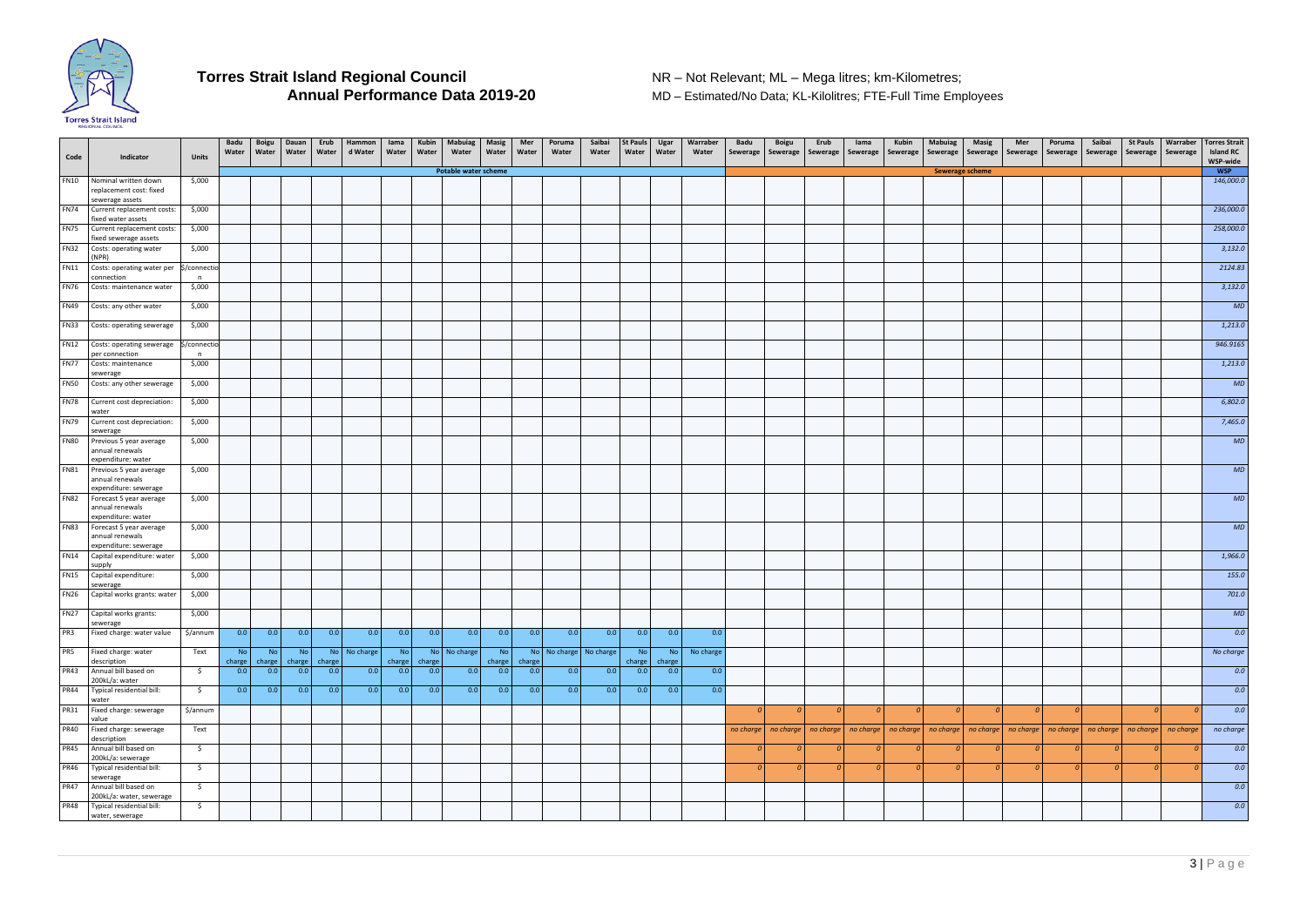

**MD – Estimated/No Data; KL-Kilolitres; FTE-Full Time Employees** 

| <b>WSP</b><br>Potable water scheme<br>Sewerage scheme<br><b>FN10</b><br>Nominal written down<br>\$,000<br>replacement cost: fixed<br>sewerage assets<br><b>FN74</b><br>\$,000<br>Current replacement costs:<br>fixed water assets<br><b>FN75</b><br>\$,000<br>Current replacement costs:<br>fixed sewerage assets<br><b>FN32</b><br>Costs: operating water<br>\$,000<br>(NPR)<br><b>FN11</b><br>Costs: operating water per<br>\$/connectio<br>connection<br>n<br><b>FN76</b><br>\$,000<br>Costs: maintenance water<br><b>FN49</b><br>Costs: any other water<br>\$,000<br><b>FN33</b><br>\$,000<br>Costs: operating sewerage<br><b>FN12</b><br>Costs: operating sewerage<br>\$/connectio<br>per connection<br>n<br><b>FN77</b><br>Costs: maintenance<br>\$,000<br>sewerage<br><b>FN50</b><br>\$,000<br>Costs: any other sewerage<br><b>FN78</b><br>\$,000<br>Current cost depreciation:<br>water<br><b>FN79</b><br>\$,000<br>Current cost depreciation:<br>sewerage<br><b>FN80</b><br>\$,000<br>Previous 5 year average<br>annual renewals<br>expenditure: water<br>MD<br><b>FN81</b><br>\$,000<br>Previous 5 year average<br>annual renewals<br>expenditure: sewerage<br><b>FN82</b><br>\$,000<br>Forecast 5 year average<br>annual renewals<br>expenditure: water<br><b>FN83</b><br>MD<br>\$,000<br>Forecast 5 year average<br>annual renewals<br>expenditure: sewerage<br><b>FN14</b><br>Capital expenditure: water<br>\$,000<br>supply<br><b>FN15</b><br>Capital expenditure:<br>\$,000<br>sewerage<br><b>FN26</b><br>\$,000<br>Capital works grants: water<br>FN27 Capital works grants:<br>\$,000<br>sewerage<br>PR3<br>Fixed charge: water value<br>\$/annum<br>0.0<br> 0.0 <br>0.0<br>0.0<br>0.0<br> 0.0 <br>0.0<br>0.0<br>0.0<br>0.0<br>0.0<br>0.0<br>0.0<br>0.0<br>0.0<br>PR5<br>Fixed charge: water<br>Text<br><b>No</b><br><b>No</b><br>No<br>No No charge<br><b>No</b><br>No No charge<br>No   No charge   No charge<br><b>No</b><br>No charge<br><b>No</b><br><b>No</b><br>description<br>charge<br>charge<br>charge<br>charge charge<br>charge<br>charge<br>charge charge<br>charge<br><b>PR43</b><br>Annual bill based on<br>$\ddot{\mathsf{s}}$<br>0.0<br>0.0<br>0.0<br>0.0<br>0.0<br>0.0<br>0.0<br>0.0<br>0.0<br>0.0<br>0.0<br>0.0<br>0.0<br>0.0<br>0.0<br>200kL/a: water<br><b>PR44</b><br>0.0<br>0.0<br>0.0<br>0.0<br>0.0<br>0.0<br>0.0<br>0.0<br>0.0<br>0.0<br>Typical residential bill:<br>0.0<br>0.0<br>0.0<br>0.0<br>0.0<br>\$<br>water<br><b>PR31</b><br>Fixed charge: sewerage<br>\$/annum<br>$\overline{0}$<br> 0 <br>$\overline{0}$<br> 0 <br>$\theta$<br>$\overline{\mathcal{O}}$<br>$\overline{0}$<br>$\overline{0}$<br>$\overline{0}$<br>$\Omega$<br>- 0<br>value<br><b>PR40</b><br>Fixed charge: sewerage<br>Text<br>  no charge   no charge   no charge   no charge   no charge   no charge   no charge   no charge   no charge  <br>no charge<br>no charge<br>no charge<br>description<br><b>PR45</b><br>Annual bill based on<br>- \$<br> 0 <br> 0 <br>$\overline{\mathbf{0}}$<br>$\Omega$<br>-01<br>$\sigma$<br>$\Omega$<br>- 0<br>200kL/a: sewerage<br><b>PR46</b><br>Typical residential bill:<br>\$<br>$\overline{0}$<br>$\Omega$<br>$\overline{0}$<br>$\overline{0}$<br>$\Omega$<br>$\overline{0}$<br>$\overline{0}$<br>$\Omega$<br>$\overline{0}$<br>$\Omega$<br>$\Omega$<br>sewerage<br><b>PR47</b><br>Annual bill based on<br>\$<br>200kL/a: water, sewerage<br><b>PR48</b><br>Typical residential bill:<br>\$<br>water, sewerage | Code | Indicator | <b>Units</b> | Badu<br>Water | Boigu<br>Water | Dauan<br>Water | Erub<br>Water | Hammon<br>d Water | lama<br>Water | Kubin<br>Water | Mabuiag<br>Water | Masig<br>Water | Mer<br>Water | Poruma<br>Water | Saibai<br>Water | St Pauls<br>Water | Ugar<br>Water | Warraber<br>Water | <b>Badu</b><br>Sewerage | <b>Boigu</b><br>Sewerage | Erub<br>Sewerage | lama<br>Sewerage | Kubin<br>Sewerage | <b>Mabuiag</b><br>Sewerage   Sewerage | Masig | Mer<br>Sewerage | Poruma<br>Sewerage | Saibai<br>Sewerage | <b>St Pauls</b><br>Sewerage | Warraber<br>Sewerage | <b>Torres Strait</b><br><b>Island RC</b><br>WSP-wide |
|----------------------------------------------------------------------------------------------------------------------------------------------------------------------------------------------------------------------------------------------------------------------------------------------------------------------------------------------------------------------------------------------------------------------------------------------------------------------------------------------------------------------------------------------------------------------------------------------------------------------------------------------------------------------------------------------------------------------------------------------------------------------------------------------------------------------------------------------------------------------------------------------------------------------------------------------------------------------------------------------------------------------------------------------------------------------------------------------------------------------------------------------------------------------------------------------------------------------------------------------------------------------------------------------------------------------------------------------------------------------------------------------------------------------------------------------------------------------------------------------------------------------------------------------------------------------------------------------------------------------------------------------------------------------------------------------------------------------------------------------------------------------------------------------------------------------------------------------------------------------------------------------------------------------------------------------------------------------------------------------------------------------------------------------------------------------------------------------------------------------------------------------------------------------------------------------------------------------------------------------------------------------------------------------------------------------------------------------------------------------------------------------------------------------------------------------------------------------------------------------------------------------------------------------------------------------------------------------------------------------------------------------------------------------------------------------------------------------------------------------------------------------------------------------------------------------------------------------------------------------------------------------------------------------------------------------------------------------------------------------------------------------------------------------------------------------------------------------------------------------------------------------------------------------------------------------------------------------------------------------------------------------------------------------------------------------------------------------------------------------------------------------------------------------------------------------------------------------------|------|-----------|--------------|---------------|----------------|----------------|---------------|-------------------|---------------|----------------|------------------|----------------|--------------|-----------------|-----------------|-------------------|---------------|-------------------|-------------------------|--------------------------|------------------|------------------|-------------------|---------------------------------------|-------|-----------------|--------------------|--------------------|-----------------------------|----------------------|------------------------------------------------------|
|                                                                                                                                                                                                                                                                                                                                                                                                                                                                                                                                                                                                                                                                                                                                                                                                                                                                                                                                                                                                                                                                                                                                                                                                                                                                                                                                                                                                                                                                                                                                                                                                                                                                                                                                                                                                                                                                                                                                                                                                                                                                                                                                                                                                                                                                                                                                                                                                                                                                                                                                                                                                                                                                                                                                                                                                                                                                                                                                                                                                                                                                                                                                                                                                                                                                                                                                                                                                                                                                            |      |           |              |               |                |                |               |                   |               |                |                  |                |              |                 |                 |                   |               |                   |                         |                          |                  |                  |                   |                                       |       |                 |                    |                    |                             |                      |                                                      |
|                                                                                                                                                                                                                                                                                                                                                                                                                                                                                                                                                                                                                                                                                                                                                                                                                                                                                                                                                                                                                                                                                                                                                                                                                                                                                                                                                                                                                                                                                                                                                                                                                                                                                                                                                                                                                                                                                                                                                                                                                                                                                                                                                                                                                                                                                                                                                                                                                                                                                                                                                                                                                                                                                                                                                                                                                                                                                                                                                                                                                                                                                                                                                                                                                                                                                                                                                                                                                                                                            |      |           |              |               |                |                |               |                   |               |                |                  |                |              |                 |                 |                   |               |                   |                         |                          |                  |                  |                   |                                       |       |                 |                    |                    |                             |                      | 146,000.0                                            |
|                                                                                                                                                                                                                                                                                                                                                                                                                                                                                                                                                                                                                                                                                                                                                                                                                                                                                                                                                                                                                                                                                                                                                                                                                                                                                                                                                                                                                                                                                                                                                                                                                                                                                                                                                                                                                                                                                                                                                                                                                                                                                                                                                                                                                                                                                                                                                                                                                                                                                                                                                                                                                                                                                                                                                                                                                                                                                                                                                                                                                                                                                                                                                                                                                                                                                                                                                                                                                                                                            |      |           |              |               |                |                |               |                   |               |                |                  |                |              |                 |                 |                   |               |                   |                         |                          |                  |                  |                   |                                       |       |                 |                    |                    |                             |                      | 236,000.0                                            |
|                                                                                                                                                                                                                                                                                                                                                                                                                                                                                                                                                                                                                                                                                                                                                                                                                                                                                                                                                                                                                                                                                                                                                                                                                                                                                                                                                                                                                                                                                                                                                                                                                                                                                                                                                                                                                                                                                                                                                                                                                                                                                                                                                                                                                                                                                                                                                                                                                                                                                                                                                                                                                                                                                                                                                                                                                                                                                                                                                                                                                                                                                                                                                                                                                                                                                                                                                                                                                                                                            |      |           |              |               |                |                |               |                   |               |                |                  |                |              |                 |                 |                   |               |                   |                         |                          |                  |                  |                   |                                       |       |                 |                    |                    |                             |                      | 258,000.0                                            |
|                                                                                                                                                                                                                                                                                                                                                                                                                                                                                                                                                                                                                                                                                                                                                                                                                                                                                                                                                                                                                                                                                                                                                                                                                                                                                                                                                                                                                                                                                                                                                                                                                                                                                                                                                                                                                                                                                                                                                                                                                                                                                                                                                                                                                                                                                                                                                                                                                                                                                                                                                                                                                                                                                                                                                                                                                                                                                                                                                                                                                                                                                                                                                                                                                                                                                                                                                                                                                                                                            |      |           |              |               |                |                |               |                   |               |                |                  |                |              |                 |                 |                   |               |                   |                         |                          |                  |                  |                   |                                       |       |                 |                    |                    |                             |                      | 3,132.0                                              |
|                                                                                                                                                                                                                                                                                                                                                                                                                                                                                                                                                                                                                                                                                                                                                                                                                                                                                                                                                                                                                                                                                                                                                                                                                                                                                                                                                                                                                                                                                                                                                                                                                                                                                                                                                                                                                                                                                                                                                                                                                                                                                                                                                                                                                                                                                                                                                                                                                                                                                                                                                                                                                                                                                                                                                                                                                                                                                                                                                                                                                                                                                                                                                                                                                                                                                                                                                                                                                                                                            |      |           |              |               |                |                |               |                   |               |                |                  |                |              |                 |                 |                   |               |                   |                         |                          |                  |                  |                   |                                       |       |                 |                    |                    |                             |                      | 2124.83                                              |
|                                                                                                                                                                                                                                                                                                                                                                                                                                                                                                                                                                                                                                                                                                                                                                                                                                                                                                                                                                                                                                                                                                                                                                                                                                                                                                                                                                                                                                                                                                                                                                                                                                                                                                                                                                                                                                                                                                                                                                                                                                                                                                                                                                                                                                                                                                                                                                                                                                                                                                                                                                                                                                                                                                                                                                                                                                                                                                                                                                                                                                                                                                                                                                                                                                                                                                                                                                                                                                                                            |      |           |              |               |                |                |               |                   |               |                |                  |                |              |                 |                 |                   |               |                   |                         |                          |                  |                  |                   |                                       |       |                 |                    |                    |                             |                      | 3,132.0                                              |
|                                                                                                                                                                                                                                                                                                                                                                                                                                                                                                                                                                                                                                                                                                                                                                                                                                                                                                                                                                                                                                                                                                                                                                                                                                                                                                                                                                                                                                                                                                                                                                                                                                                                                                                                                                                                                                                                                                                                                                                                                                                                                                                                                                                                                                                                                                                                                                                                                                                                                                                                                                                                                                                                                                                                                                                                                                                                                                                                                                                                                                                                                                                                                                                                                                                                                                                                                                                                                                                                            |      |           |              |               |                |                |               |                   |               |                |                  |                |              |                 |                 |                   |               |                   |                         |                          |                  |                  |                   |                                       |       |                 |                    |                    |                             |                      | <b>MD</b>                                            |
|                                                                                                                                                                                                                                                                                                                                                                                                                                                                                                                                                                                                                                                                                                                                                                                                                                                                                                                                                                                                                                                                                                                                                                                                                                                                                                                                                                                                                                                                                                                                                                                                                                                                                                                                                                                                                                                                                                                                                                                                                                                                                                                                                                                                                                                                                                                                                                                                                                                                                                                                                                                                                                                                                                                                                                                                                                                                                                                                                                                                                                                                                                                                                                                                                                                                                                                                                                                                                                                                            |      |           |              |               |                |                |               |                   |               |                |                  |                |              |                 |                 |                   |               |                   |                         |                          |                  |                  |                   |                                       |       |                 |                    |                    |                             |                      | 1,213.0                                              |
|                                                                                                                                                                                                                                                                                                                                                                                                                                                                                                                                                                                                                                                                                                                                                                                                                                                                                                                                                                                                                                                                                                                                                                                                                                                                                                                                                                                                                                                                                                                                                                                                                                                                                                                                                                                                                                                                                                                                                                                                                                                                                                                                                                                                                                                                                                                                                                                                                                                                                                                                                                                                                                                                                                                                                                                                                                                                                                                                                                                                                                                                                                                                                                                                                                                                                                                                                                                                                                                                            |      |           |              |               |                |                |               |                   |               |                |                  |                |              |                 |                 |                   |               |                   |                         |                          |                  |                  |                   |                                       |       |                 |                    |                    |                             |                      | 946.9165                                             |
|                                                                                                                                                                                                                                                                                                                                                                                                                                                                                                                                                                                                                                                                                                                                                                                                                                                                                                                                                                                                                                                                                                                                                                                                                                                                                                                                                                                                                                                                                                                                                                                                                                                                                                                                                                                                                                                                                                                                                                                                                                                                                                                                                                                                                                                                                                                                                                                                                                                                                                                                                                                                                                                                                                                                                                                                                                                                                                                                                                                                                                                                                                                                                                                                                                                                                                                                                                                                                                                                            |      |           |              |               |                |                |               |                   |               |                |                  |                |              |                 |                 |                   |               |                   |                         |                          |                  |                  |                   |                                       |       |                 |                    |                    |                             |                      | 1,213.0                                              |
|                                                                                                                                                                                                                                                                                                                                                                                                                                                                                                                                                                                                                                                                                                                                                                                                                                                                                                                                                                                                                                                                                                                                                                                                                                                                                                                                                                                                                                                                                                                                                                                                                                                                                                                                                                                                                                                                                                                                                                                                                                                                                                                                                                                                                                                                                                                                                                                                                                                                                                                                                                                                                                                                                                                                                                                                                                                                                                                                                                                                                                                                                                                                                                                                                                                                                                                                                                                                                                                                            |      |           |              |               |                |                |               |                   |               |                |                  |                |              |                 |                 |                   |               |                   |                         |                          |                  |                  |                   |                                       |       |                 |                    |                    |                             |                      | MD                                                   |
|                                                                                                                                                                                                                                                                                                                                                                                                                                                                                                                                                                                                                                                                                                                                                                                                                                                                                                                                                                                                                                                                                                                                                                                                                                                                                                                                                                                                                                                                                                                                                                                                                                                                                                                                                                                                                                                                                                                                                                                                                                                                                                                                                                                                                                                                                                                                                                                                                                                                                                                                                                                                                                                                                                                                                                                                                                                                                                                                                                                                                                                                                                                                                                                                                                                                                                                                                                                                                                                                            |      |           |              |               |                |                |               |                   |               |                |                  |                |              |                 |                 |                   |               |                   |                         |                          |                  |                  |                   |                                       |       |                 |                    |                    |                             |                      | 6,802.0                                              |
|                                                                                                                                                                                                                                                                                                                                                                                                                                                                                                                                                                                                                                                                                                                                                                                                                                                                                                                                                                                                                                                                                                                                                                                                                                                                                                                                                                                                                                                                                                                                                                                                                                                                                                                                                                                                                                                                                                                                                                                                                                                                                                                                                                                                                                                                                                                                                                                                                                                                                                                                                                                                                                                                                                                                                                                                                                                                                                                                                                                                                                                                                                                                                                                                                                                                                                                                                                                                                                                                            |      |           |              |               |                |                |               |                   |               |                |                  |                |              |                 |                 |                   |               |                   |                         |                          |                  |                  |                   |                                       |       |                 |                    |                    |                             |                      | 7,465.0                                              |
|                                                                                                                                                                                                                                                                                                                                                                                                                                                                                                                                                                                                                                                                                                                                                                                                                                                                                                                                                                                                                                                                                                                                                                                                                                                                                                                                                                                                                                                                                                                                                                                                                                                                                                                                                                                                                                                                                                                                                                                                                                                                                                                                                                                                                                                                                                                                                                                                                                                                                                                                                                                                                                                                                                                                                                                                                                                                                                                                                                                                                                                                                                                                                                                                                                                                                                                                                                                                                                                                            |      |           |              |               |                |                |               |                   |               |                |                  |                |              |                 |                 |                   |               |                   |                         |                          |                  |                  |                   |                                       |       |                 |                    |                    |                             |                      | MD                                                   |
|                                                                                                                                                                                                                                                                                                                                                                                                                                                                                                                                                                                                                                                                                                                                                                                                                                                                                                                                                                                                                                                                                                                                                                                                                                                                                                                                                                                                                                                                                                                                                                                                                                                                                                                                                                                                                                                                                                                                                                                                                                                                                                                                                                                                                                                                                                                                                                                                                                                                                                                                                                                                                                                                                                                                                                                                                                                                                                                                                                                                                                                                                                                                                                                                                                                                                                                                                                                                                                                                            |      |           |              |               |                |                |               |                   |               |                |                  |                |              |                 |                 |                   |               |                   |                         |                          |                  |                  |                   |                                       |       |                 |                    |                    |                             |                      |                                                      |
|                                                                                                                                                                                                                                                                                                                                                                                                                                                                                                                                                                                                                                                                                                                                                                                                                                                                                                                                                                                                                                                                                                                                                                                                                                                                                                                                                                                                                                                                                                                                                                                                                                                                                                                                                                                                                                                                                                                                                                                                                                                                                                                                                                                                                                                                                                                                                                                                                                                                                                                                                                                                                                                                                                                                                                                                                                                                                                                                                                                                                                                                                                                                                                                                                                                                                                                                                                                                                                                                            |      |           |              |               |                |                |               |                   |               |                |                  |                |              |                 |                 |                   |               |                   |                         |                          |                  |                  |                   |                                       |       |                 |                    |                    |                             |                      |                                                      |
|                                                                                                                                                                                                                                                                                                                                                                                                                                                                                                                                                                                                                                                                                                                                                                                                                                                                                                                                                                                                                                                                                                                                                                                                                                                                                                                                                                                                                                                                                                                                                                                                                                                                                                                                                                                                                                                                                                                                                                                                                                                                                                                                                                                                                                                                                                                                                                                                                                                                                                                                                                                                                                                                                                                                                                                                                                                                                                                                                                                                                                                                                                                                                                                                                                                                                                                                                                                                                                                                            |      |           |              |               |                |                |               |                   |               |                |                  |                |              |                 |                 |                   |               |                   |                         |                          |                  |                  |                   |                                       |       |                 |                    |                    |                             |                      | MD                                                   |
|                                                                                                                                                                                                                                                                                                                                                                                                                                                                                                                                                                                                                                                                                                                                                                                                                                                                                                                                                                                                                                                                                                                                                                                                                                                                                                                                                                                                                                                                                                                                                                                                                                                                                                                                                                                                                                                                                                                                                                                                                                                                                                                                                                                                                                                                                                                                                                                                                                                                                                                                                                                                                                                                                                                                                                                                                                                                                                                                                                                                                                                                                                                                                                                                                                                                                                                                                                                                                                                                            |      |           |              |               |                |                |               |                   |               |                |                  |                |              |                 |                 |                   |               |                   |                         |                          |                  |                  |                   |                                       |       |                 |                    |                    |                             |                      |                                                      |
|                                                                                                                                                                                                                                                                                                                                                                                                                                                                                                                                                                                                                                                                                                                                                                                                                                                                                                                                                                                                                                                                                                                                                                                                                                                                                                                                                                                                                                                                                                                                                                                                                                                                                                                                                                                                                                                                                                                                                                                                                                                                                                                                                                                                                                                                                                                                                                                                                                                                                                                                                                                                                                                                                                                                                                                                                                                                                                                                                                                                                                                                                                                                                                                                                                                                                                                                                                                                                                                                            |      |           |              |               |                |                |               |                   |               |                |                  |                |              |                 |                 |                   |               |                   |                         |                          |                  |                  |                   |                                       |       |                 |                    |                    |                             |                      |                                                      |
|                                                                                                                                                                                                                                                                                                                                                                                                                                                                                                                                                                                                                                                                                                                                                                                                                                                                                                                                                                                                                                                                                                                                                                                                                                                                                                                                                                                                                                                                                                                                                                                                                                                                                                                                                                                                                                                                                                                                                                                                                                                                                                                                                                                                                                                                                                                                                                                                                                                                                                                                                                                                                                                                                                                                                                                                                                                                                                                                                                                                                                                                                                                                                                                                                                                                                                                                                                                                                                                                            |      |           |              |               |                |                |               |                   |               |                |                  |                |              |                 |                 |                   |               |                   |                         |                          |                  |                  |                   |                                       |       |                 |                    |                    |                             |                      | 1,966.0                                              |
|                                                                                                                                                                                                                                                                                                                                                                                                                                                                                                                                                                                                                                                                                                                                                                                                                                                                                                                                                                                                                                                                                                                                                                                                                                                                                                                                                                                                                                                                                                                                                                                                                                                                                                                                                                                                                                                                                                                                                                                                                                                                                                                                                                                                                                                                                                                                                                                                                                                                                                                                                                                                                                                                                                                                                                                                                                                                                                                                                                                                                                                                                                                                                                                                                                                                                                                                                                                                                                                                            |      |           |              |               |                |                |               |                   |               |                |                  |                |              |                 |                 |                   |               |                   |                         |                          |                  |                  |                   |                                       |       |                 |                    |                    |                             |                      | 155.0                                                |
|                                                                                                                                                                                                                                                                                                                                                                                                                                                                                                                                                                                                                                                                                                                                                                                                                                                                                                                                                                                                                                                                                                                                                                                                                                                                                                                                                                                                                                                                                                                                                                                                                                                                                                                                                                                                                                                                                                                                                                                                                                                                                                                                                                                                                                                                                                                                                                                                                                                                                                                                                                                                                                                                                                                                                                                                                                                                                                                                                                                                                                                                                                                                                                                                                                                                                                                                                                                                                                                                            |      |           |              |               |                |                |               |                   |               |                |                  |                |              |                 |                 |                   |               |                   |                         |                          |                  |                  |                   |                                       |       |                 |                    |                    |                             |                      | 701.0                                                |
|                                                                                                                                                                                                                                                                                                                                                                                                                                                                                                                                                                                                                                                                                                                                                                                                                                                                                                                                                                                                                                                                                                                                                                                                                                                                                                                                                                                                                                                                                                                                                                                                                                                                                                                                                                                                                                                                                                                                                                                                                                                                                                                                                                                                                                                                                                                                                                                                                                                                                                                                                                                                                                                                                                                                                                                                                                                                                                                                                                                                                                                                                                                                                                                                                                                                                                                                                                                                                                                                            |      |           |              |               |                |                |               |                   |               |                |                  |                |              |                 |                 |                   |               |                   |                         |                          |                  |                  |                   |                                       |       |                 |                    |                    |                             |                      | <b>MD</b>                                            |
|                                                                                                                                                                                                                                                                                                                                                                                                                                                                                                                                                                                                                                                                                                                                                                                                                                                                                                                                                                                                                                                                                                                                                                                                                                                                                                                                                                                                                                                                                                                                                                                                                                                                                                                                                                                                                                                                                                                                                                                                                                                                                                                                                                                                                                                                                                                                                                                                                                                                                                                                                                                                                                                                                                                                                                                                                                                                                                                                                                                                                                                                                                                                                                                                                                                                                                                                                                                                                                                                            |      |           |              |               |                |                |               |                   |               |                |                  |                |              |                 |                 |                   |               |                   |                         |                          |                  |                  |                   |                                       |       |                 |                    |                    |                             |                      | 0.0                                                  |
|                                                                                                                                                                                                                                                                                                                                                                                                                                                                                                                                                                                                                                                                                                                                                                                                                                                                                                                                                                                                                                                                                                                                                                                                                                                                                                                                                                                                                                                                                                                                                                                                                                                                                                                                                                                                                                                                                                                                                                                                                                                                                                                                                                                                                                                                                                                                                                                                                                                                                                                                                                                                                                                                                                                                                                                                                                                                                                                                                                                                                                                                                                                                                                                                                                                                                                                                                                                                                                                                            |      |           |              |               |                |                |               |                   |               |                |                  |                |              |                 |                 |                   |               |                   |                         |                          |                  |                  |                   |                                       |       |                 |                    |                    |                             |                      | No charge                                            |
|                                                                                                                                                                                                                                                                                                                                                                                                                                                                                                                                                                                                                                                                                                                                                                                                                                                                                                                                                                                                                                                                                                                                                                                                                                                                                                                                                                                                                                                                                                                                                                                                                                                                                                                                                                                                                                                                                                                                                                                                                                                                                                                                                                                                                                                                                                                                                                                                                                                                                                                                                                                                                                                                                                                                                                                                                                                                                                                                                                                                                                                                                                                                                                                                                                                                                                                                                                                                                                                                            |      |           |              |               |                |                |               |                   |               |                |                  |                |              |                 |                 |                   |               |                   |                         |                          |                  |                  |                   |                                       |       |                 |                    |                    |                             |                      | 0.0                                                  |
|                                                                                                                                                                                                                                                                                                                                                                                                                                                                                                                                                                                                                                                                                                                                                                                                                                                                                                                                                                                                                                                                                                                                                                                                                                                                                                                                                                                                                                                                                                                                                                                                                                                                                                                                                                                                                                                                                                                                                                                                                                                                                                                                                                                                                                                                                                                                                                                                                                                                                                                                                                                                                                                                                                                                                                                                                                                                                                                                                                                                                                                                                                                                                                                                                                                                                                                                                                                                                                                                            |      |           |              |               |                |                |               |                   |               |                |                  |                |              |                 |                 |                   |               |                   |                         |                          |                  |                  |                   |                                       |       |                 |                    |                    |                             |                      | 0.0                                                  |
|                                                                                                                                                                                                                                                                                                                                                                                                                                                                                                                                                                                                                                                                                                                                                                                                                                                                                                                                                                                                                                                                                                                                                                                                                                                                                                                                                                                                                                                                                                                                                                                                                                                                                                                                                                                                                                                                                                                                                                                                                                                                                                                                                                                                                                                                                                                                                                                                                                                                                                                                                                                                                                                                                                                                                                                                                                                                                                                                                                                                                                                                                                                                                                                                                                                                                                                                                                                                                                                                            |      |           |              |               |                |                |               |                   |               |                |                  |                |              |                 |                 |                   |               |                   |                         |                          |                  |                  |                   |                                       |       |                 |                    |                    |                             |                      | 0.0                                                  |
|                                                                                                                                                                                                                                                                                                                                                                                                                                                                                                                                                                                                                                                                                                                                                                                                                                                                                                                                                                                                                                                                                                                                                                                                                                                                                                                                                                                                                                                                                                                                                                                                                                                                                                                                                                                                                                                                                                                                                                                                                                                                                                                                                                                                                                                                                                                                                                                                                                                                                                                                                                                                                                                                                                                                                                                                                                                                                                                                                                                                                                                                                                                                                                                                                                                                                                                                                                                                                                                                            |      |           |              |               |                |                |               |                   |               |                |                  |                |              |                 |                 |                   |               |                   |                         |                          |                  |                  |                   |                                       |       |                 |                    |                    |                             |                      | no charge                                            |
|                                                                                                                                                                                                                                                                                                                                                                                                                                                                                                                                                                                                                                                                                                                                                                                                                                                                                                                                                                                                                                                                                                                                                                                                                                                                                                                                                                                                                                                                                                                                                                                                                                                                                                                                                                                                                                                                                                                                                                                                                                                                                                                                                                                                                                                                                                                                                                                                                                                                                                                                                                                                                                                                                                                                                                                                                                                                                                                                                                                                                                                                                                                                                                                                                                                                                                                                                                                                                                                                            |      |           |              |               |                |                |               |                   |               |                |                  |                |              |                 |                 |                   |               |                   |                         |                          |                  |                  |                   |                                       |       |                 |                    |                    |                             |                      | 0.0                                                  |
|                                                                                                                                                                                                                                                                                                                                                                                                                                                                                                                                                                                                                                                                                                                                                                                                                                                                                                                                                                                                                                                                                                                                                                                                                                                                                                                                                                                                                                                                                                                                                                                                                                                                                                                                                                                                                                                                                                                                                                                                                                                                                                                                                                                                                                                                                                                                                                                                                                                                                                                                                                                                                                                                                                                                                                                                                                                                                                                                                                                                                                                                                                                                                                                                                                                                                                                                                                                                                                                                            |      |           |              |               |                |                |               |                   |               |                |                  |                |              |                 |                 |                   |               |                   |                         |                          |                  |                  |                   |                                       |       |                 |                    |                    |                             |                      | 0.0                                                  |
|                                                                                                                                                                                                                                                                                                                                                                                                                                                                                                                                                                                                                                                                                                                                                                                                                                                                                                                                                                                                                                                                                                                                                                                                                                                                                                                                                                                                                                                                                                                                                                                                                                                                                                                                                                                                                                                                                                                                                                                                                                                                                                                                                                                                                                                                                                                                                                                                                                                                                                                                                                                                                                                                                                                                                                                                                                                                                                                                                                                                                                                                                                                                                                                                                                                                                                                                                                                                                                                                            |      |           |              |               |                |                |               |                   |               |                |                  |                |              |                 |                 |                   |               |                   |                         |                          |                  |                  |                   |                                       |       |                 |                    |                    |                             |                      | 0.0                                                  |
|                                                                                                                                                                                                                                                                                                                                                                                                                                                                                                                                                                                                                                                                                                                                                                                                                                                                                                                                                                                                                                                                                                                                                                                                                                                                                                                                                                                                                                                                                                                                                                                                                                                                                                                                                                                                                                                                                                                                                                                                                                                                                                                                                                                                                                                                                                                                                                                                                                                                                                                                                                                                                                                                                                                                                                                                                                                                                                                                                                                                                                                                                                                                                                                                                                                                                                                                                                                                                                                                            |      |           |              |               |                |                |               |                   |               |                |                  |                |              |                 |                 |                   |               |                   |                         |                          |                  |                  |                   |                                       |       |                 |                    |                    |                             |                      | 0.0                                                  |